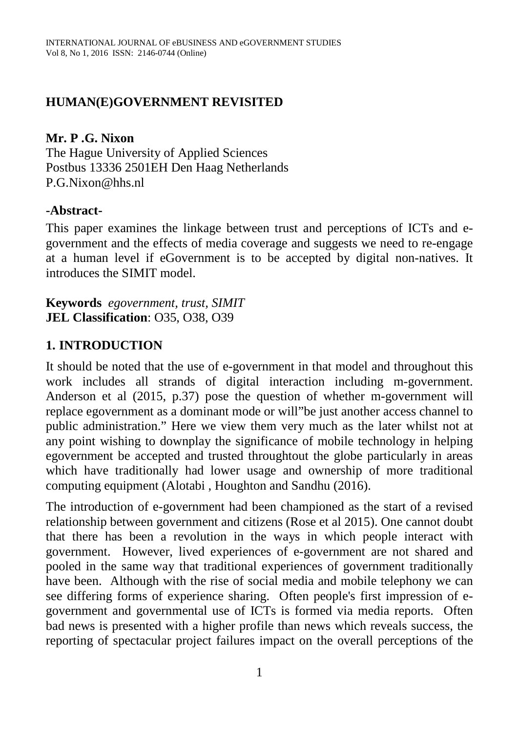#### **HUMAN(E)GOVERNMENT REVISITED**

**Mr. P .G. Nixon**

The Hague University of Applied Sciences Postbus 13336 2501EH Den Haag Netherlands P.G.Nixon@hhs.nl

#### **-Abstract-**

This paper examines the linkage between trust and perceptions of ICTs and egovernment and the effects of media coverage and suggests we need to re-engage at a human level if eGovernment is to be accepted by digital non-natives. It introduces the SIMIT model.

**Keywords** *egovernment, trust, SIMIT* **JEL Classification**: O35, O38, O39

### **1. INTRODUCTION**

It should be noted that the use of e-government in that model and throughout this work includes all strands of digital interaction including m-government. Anderson et al (2015, p.37) pose the question of whether m-government will replace egovernment as a dominant mode or will"be just another access channel to public administration." Here we view them very much as the later whilst not at any point wishing to downplay the significance of mobile technology in helping egovernment be accepted and trusted throughtout the globe particularly in areas which have traditionally had lower usage and ownership of more traditional computing equipment (Alotabi , Houghton and Sandhu (2016).

The introduction of e-government had been championed as the start of a revised relationship between government and citizens (Rose et al 2015). One cannot doubt that there has been a revolution in the ways in which people interact with government. However, lived experiences of e-government are not shared and pooled in the same way that traditional experiences of government traditionally have been. Although with the rise of social media and mobile telephony we can see differing forms of experience sharing. Often people's first impression of egovernment and governmental use of ICTs is formed via media reports. Often bad news is presented with a higher profile than news which reveals success, the reporting of spectacular project failures impact on the overall perceptions of the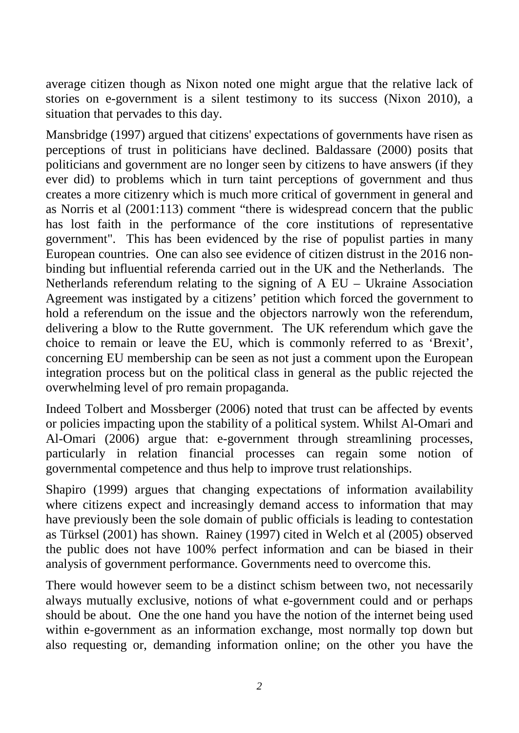average citizen though as Nixon noted one might argue that the relative lack of stories on e-government is a silent testimony to its success (Nixon 2010), a situation that pervades to this day.

Mansbridge (1997) argued that citizens' expectations of governments have risen as perceptions of trust in politicians have declined. Baldassare (2000) posits that politicians and government are no longer seen by citizens to have answers (if they ever did) to problems which in turn taint perceptions of government and thus creates a more citizenry which is much more critical of government in general and as Norris et al (2001:113) comment "there is widespread concern that the public has lost faith in the performance of the core institutions of representative government". This has been evidenced by the rise of populist parties in many European countries. One can also see evidence of citizen distrust in the 2016 nonbinding but influential referenda carried out in the UK and the Netherlands. The Netherlands referendum relating to the signing of A EU – Ukraine Association Agreement was instigated by a citizens' petition which forced the government to hold a referendum on the issue and the objectors narrowly won the referendum, delivering a blow to the Rutte government. The UK referendum which gave the choice to remain or leave the EU, which is commonly referred to as 'Brexit', concerning EU membership can be seen as not just a comment upon the European integration process but on the political class in general as the public rejected the overwhelming level of pro remain propaganda.

Indeed Tolbert and Mossberger (2006) noted that trust can be affected by events or policies impacting upon the stability of a political system. Whilst Al-Omari and Al-Omari (2006) argue that: e-government through streamlining processes, particularly in relation financial processes can regain some notion of governmental competence and thus help to improve trust relationships.

Shapiro (1999) argues that changing expectations of information availability where citizens expect and increasingly demand access to information that may have previously been the sole domain of public officials is leading to contestation as Türksel (2001) has shown. Rainey (1997) cited in Welch et al (2005) observed the public does not have 100% perfect information and can be biased in their analysis of government performance. Governments need to overcome this.

There would however seem to be a distinct schism between two, not necessarily always mutually exclusive, notions of what e-government could and or perhaps should be about. One the one hand you have the notion of the internet being used within e-government as an information exchange, most normally top down but also requesting or, demanding information online; on the other you have the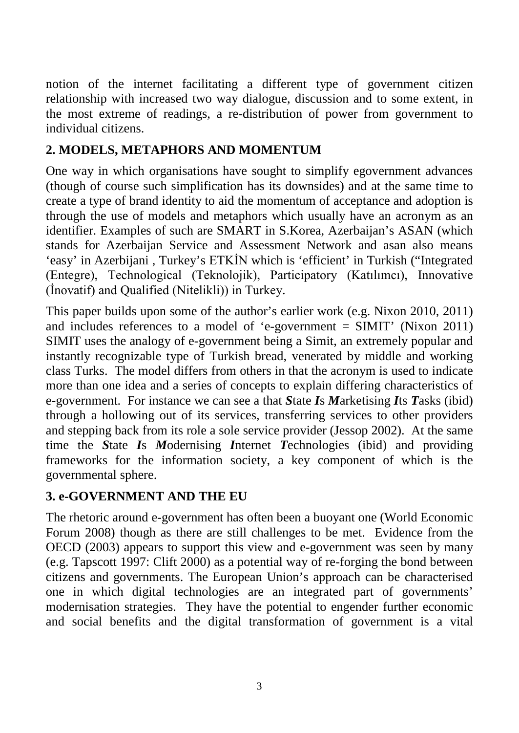notion of the internet facilitating a different type of government citizen relationship with increased two way dialogue, discussion and to some extent, in the most extreme of readings, a re-distribution of power from government to individual citizens.

# **2. MODELS, METAPHORS AND MOMENTUM**

One way in which organisations have sought to simplify egovernment advances (though of course such simplification has its downsides) and at the same time to create a type of brand identity to aid the momentum of acceptance and adoption is through the use of models and metaphors which usually have an acronym as an identifier. Examples of such are SMART in S.Korea, Azerbaijan's ASAN (which stands for Azerbaijan Service and Assessment Network and asan also means 'easy' in Azerbijani , Turkey's ETKİN which is 'efficient' in Turkish ("Integrated (Entegre), Technological (Teknolojik), Participatory (Katılımcı), Innovative (İnovatif) and Qualified (Nitelikli)) in Turkey.

This paper builds upon some of the author's earlier work (e.g. Nixon 2010, 2011) and includes references to a model of 'e-government  $=$  SIMIT' (Nixon 2011) SIMIT uses the analogy of e-government being a Simit, an extremely popular and instantly recognizable type of Turkish bread, venerated by middle and working class Turks. The model differs from others in that the acronym is used to indicate more than one idea and a series of concepts to explain differing characteristics of e-government. For instance we can see a that *S*tate *I*s *M*arketising *I*ts *T*asks (ibid) through a hollowing out of its services, transferring services to other providers and stepping back from its role a sole service provider (Jessop 2002). At the same time the *S*tate *I*s *M*odernising *I*nternet *T*echnologies (ibid) and providing frameworks for the information society, a key component of which is the governmental sphere.

# **3. e-GOVERNMENT AND THE EU**

The rhetoric around e-government has often been a buoyant one (World Economic Forum 2008) though as there are still challenges to be met. Evidence from the OECD (2003) appears to support this view and e-government was seen by many (e.g. Tapscott 1997: Clift 2000) as a potential way of re-forging the bond between citizens and governments. The European Union's approach can be characterised one in which digital technologies are an integrated part of governments' modernisation strategies. They have the potential to engender further economic and social benefits and the digital transformation of government is a vital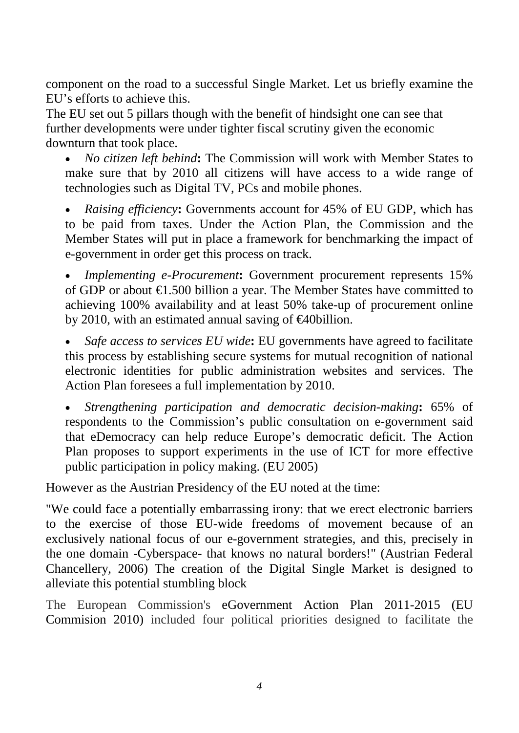component on the road to a successful Single Market. Let us briefly examine the EU's efforts to achieve this.

The EU set out 5 pillars though with the benefit of hindsight one can see that further developments were under tighter fiscal scrutiny given the economic downturn that took place.

• *No citizen left behind***:** The Commission will work with Member States to make sure that by 2010 all citizens will have access to a wide range of technologies such as Digital TV, PCs and mobile phones.

• *Raising efficiency***:** Governments account for 45% of EU GDP, which has to be paid from taxes. Under the Action Plan, the Commission and the Member States will put in place a framework for benchmarking the impact of e-government in order get this process on track.

• *Implementing e-Procurement***:** Government procurement represents 15% of GDP or about €1.500 billion a year. The Member States have committed to achieving 100% availability and at least 50% take-up of procurement online by 2010, with an estimated annual saving of  $\epsilon$ 40billion.

• *Safe access to services EU wide***:** EU governments have agreed to facilitate this process by establishing secure systems for mutual recognition of national electronic identities for public administration websites and services. The Action Plan foresees a full implementation by 2010.

• *Strengthening participation and democratic decision-making***:** 65% of respondents to the Commission's public consultation on e-government said that eDemocracy can help reduce Europe's democratic deficit. The Action Plan proposes to support experiments in the use of ICT for more effective public participation in policy making. (EU 2005)

However as the Austrian Presidency of the EU noted at the time:

"We could face a potentially embarrassing irony: that we erect electronic barriers to the exercise of those EU-wide freedoms of movement because of an exclusively national focus of our e-government strategies, and this, precisely in the one domain -Cyberspace- that knows no natural borders!" (Austrian Federal Chancellery, 2006) The creation of the Digital Single Market is designed to alleviate this potential stumbling block

The European Commission's eGovernment Action Plan 2011-2015 (EU Commision 2010) included four political priorities designed to facilitate the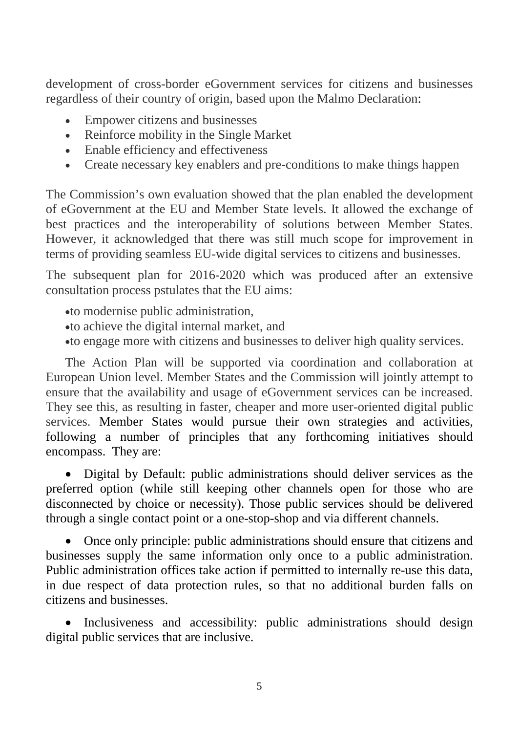development of cross-border eGovernment services for citizens and businesses regardless of their country of origin, based upon the Malmo Declaration:

- Empower citizens and businesses
- Reinforce mobility in the Single Market
- Enable efficiency and effectiveness
- Create necessary key enablers and pre-conditions to make things happen

The Commission's own evaluation showed that the plan enabled the development of eGovernment at the EU and Member State levels. It allowed the exchange of best practices and the interoperability of solutions between Member States. However, it acknowledged that there was still much scope for improvement in terms of providing seamless EU-wide digital services to citizens and businesses.

The subsequent plan for 2016-2020 which was produced after an extensive consultation process pstulates that the EU aims:

- •to modernise public administration,
- •to achieve the digital internal market, and
- •to engage more with citizens and businesses to deliver high quality services.

The Action Plan will be supported via coordination and collaboration at European Union level. Member States and the Commission will jointly attempt to ensure that the availability and usage of eGovernment services can be increased. They see this, as resulting in faster, cheaper and more user-oriented digital public services. Member States would pursue their own strategies and activities, following a number of principles that any forthcoming initiatives should encompass. They are:

• Digital by Default: public administrations should deliver services as the preferred option (while still keeping other channels open for those who are disconnected by choice or necessity). Those public services should be delivered through a single contact point or a one-stop-shop and via different channels.

• Once only principle: public administrations should ensure that citizens and businesses supply the same information only once to a public administration. Public administration offices take action if permitted to internally re-use this data, in due respect of data protection rules, so that no additional burden falls on citizens and businesses.

Inclusiveness and accessibility: public administrations should design digital public services that are inclusive.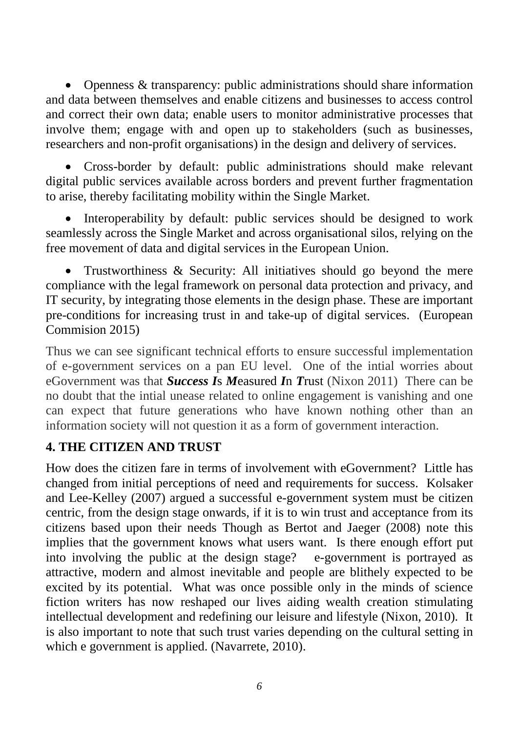• Openness & transparency: public administrations should share information and data between themselves and enable citizens and businesses to access control and correct their own data; enable users to monitor administrative processes that involve them; engage with and open up to stakeholders (such as businesses, researchers and non-profit organisations) in the design and delivery of services.

• Cross-border by default: public administrations should make relevant digital public services available across borders and prevent further fragmentation to arise, thereby facilitating mobility within the Single Market.

• Interoperability by default: public services should be designed to work seamlessly across the Single Market and across organisational silos, relying on the free movement of data and digital services in the European Union.

• Trustworthiness & Security: All initiatives should go beyond the mere compliance with the legal framework on personal data protection and privacy, and IT security, by integrating those elements in the design phase. These are important pre-conditions for increasing trust in and take-up of digital services. (European Commision 2015)

Thus we can see significant technical efforts to ensure successful implementation of e-government services on a pan EU level. One of the intial worries about eGovernment was that *Success I*s *M*easured *I*n *T*rust (Nixon 2011) There can be no doubt that the intial unease related to online engagement is vanishing and one can expect that future generations who have known nothing other than an information society will not question it as a form of government interaction.

### **4. THE CITIZEN AND TRUST**

How does the citizen fare in terms of involvement with eGovernment? Little has changed from initial perceptions of need and requirements for success. Kolsaker and Lee-Kelley (2007) argued a successful e-government system must be citizen centric, from the design stage onwards, if it is to win trust and acceptance from its citizens based upon their needs Though as Bertot and Jaeger (2008) note this implies that the government knows what users want. Is there enough effort put into involving the public at the design stage? e-government is portrayed as attractive, modern and almost inevitable and people are blithely expected to be excited by its potential. What was once possible only in the minds of science fiction writers has now reshaped our lives aiding wealth creation stimulating intellectual development and redefining our leisure and lifestyle (Nixon, 2010). It is also important to note that such trust varies depending on the cultural setting in which e government is applied. (Navarrete, 2010).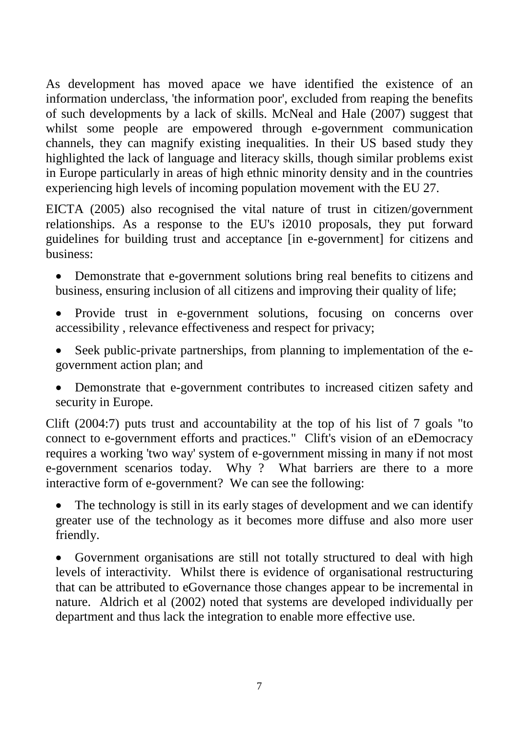As development has moved apace we have identified the existence of an information underclass, 'the information poor', excluded from reaping the benefits of such developments by a lack of skills. McNeal and Hale (2007) suggest that whilst some people are empowered through e-government communication channels, they can magnify existing inequalities. In their US based study they highlighted the lack of language and literacy skills, though similar problems exist in Europe particularly in areas of high ethnic minority density and in the countries experiencing high levels of incoming population movement with the EU 27.

EICTA (2005) also recognised the vital nature of trust in citizen/government relationships. As a response to the EU's i2010 proposals, they put forward guidelines for building trust and acceptance [in e-government] for citizens and business:

• Demonstrate that e-government solutions bring real benefits to citizens and business, ensuring inclusion of all citizens and improving their quality of life;

- Provide trust in e-government solutions, focusing on concerns over accessibility , relevance effectiveness and respect for privacy;
- Seek public-private partnerships, from planning to implementation of the egovernment action plan; and
- Demonstrate that e-government contributes to increased citizen safety and security in Europe.

Clift (2004:7) puts trust and accountability at the top of his list of 7 goals "to connect to e-government efforts and practices." Clift's vision of an eDemocracy requires a working 'two way' system of e-government missing in many if not most e-government scenarios today. Why ? What barriers are there to a more interactive form of e-government? We can see the following:

The technology is still in its early stages of development and we can identify greater use of the technology as it becomes more diffuse and also more user friendly.

• Government organisations are still not totally structured to deal with high levels of interactivity. Whilst there is evidence of organisational restructuring that can be attributed to eGovernance those changes appear to be incremental in nature. Aldrich et al (2002) noted that systems are developed individually per department and thus lack the integration to enable more effective use.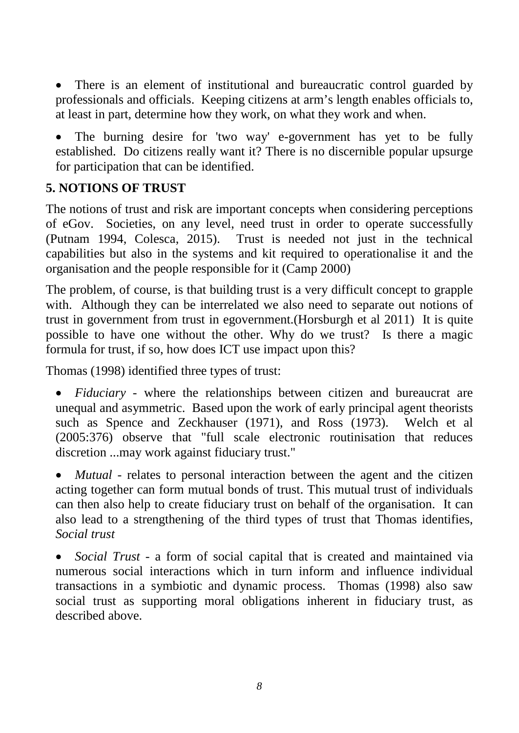• There is an element of institutional and bureaucratic control guarded by professionals and officials. Keeping citizens at arm's length enables officials to, at least in part, determine how they work, on what they work and when.

The burning desire for 'two way' e-government has yet to be fully established. Do citizens really want it? There is no discernible popular upsurge for participation that can be identified.

### **5. NOTIONS OF TRUST**

The notions of trust and risk are important concepts when considering perceptions of eGov. Societies, on any level, need trust in order to operate successfully (Putnam 1994, Colesca, 2015). Trust is needed not just in the technical capabilities but also in the systems and kit required to operationalise it and the organisation and the people responsible for it (Camp 2000)

The problem, of course, is that building trust is a very difficult concept to grapple with. Although they can be interrelated we also need to separate out notions of trust in government from trust in egovernment.(Horsburgh et al 2011) It is quite possible to have one without the other. Why do we trust? Is there a magic formula for trust, if so, how does ICT use impact upon this?

Thomas (1998) identified three types of trust:

• *Fiduciary* - where the relationships between citizen and bureaucrat are unequal and asymmetric. Based upon the work of early principal agent theorists such as Spence and Zeckhauser (1971), and Ross (1973). Welch et al (2005:376) observe that "full scale electronic routinisation that reduces discretion ...may work against fiduciary trust."

*Mutual* - relates to personal interaction between the agent and the citizen acting together can form mutual bonds of trust. This mutual trust of individuals can then also help to create fiduciary trust on behalf of the organisation. It can also lead to a strengthening of the third types of trust that Thomas identifies, *Social trust*

• *Social Trust* - a form of social capital that is created and maintained via numerous social interactions which in turn inform and influence individual transactions in a symbiotic and dynamic process. Thomas (1998) also saw social trust as supporting moral obligations inherent in fiduciary trust, as described above.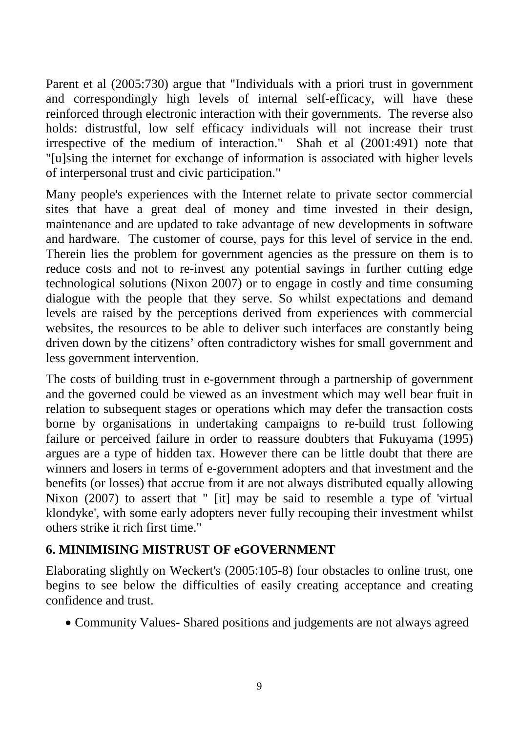Parent et al (2005:730) argue that "Individuals with a priori trust in government and correspondingly high levels of internal self-efficacy, will have these reinforced through electronic interaction with their governments. The reverse also holds: distrustful, low self efficacy individuals will not increase their trust irrespective of the medium of interaction." Shah et al (2001:491) note that "[u]sing the internet for exchange of information is associated with higher levels of interpersonal trust and civic participation."

Many people's experiences with the Internet relate to private sector commercial sites that have a great deal of money and time invested in their design, maintenance and are updated to take advantage of new developments in software and hardware. The customer of course, pays for this level of service in the end. Therein lies the problem for government agencies as the pressure on them is to reduce costs and not to re-invest any potential savings in further cutting edge technological solutions (Nixon 2007) or to engage in costly and time consuming dialogue with the people that they serve. So whilst expectations and demand levels are raised by the perceptions derived from experiences with commercial websites, the resources to be able to deliver such interfaces are constantly being driven down by the citizens' often contradictory wishes for small government and less government intervention.

The costs of building trust in e-government through a partnership of government and the governed could be viewed as an investment which may well bear fruit in relation to subsequent stages or operations which may defer the transaction costs borne by organisations in undertaking campaigns to re-build trust following failure or perceived failure in order to reassure doubters that Fukuyama (1995) argues are a type of hidden tax. However there can be little doubt that there are winners and losers in terms of e-government adopters and that investment and the benefits (or losses) that accrue from it are not always distributed equally allowing Nixon (2007) to assert that " [it] may be said to resemble a type of 'virtual klondyke', with some early adopters never fully recouping their investment whilst others strike it rich first time."

### **6. MINIMISING MISTRUST OF eGOVERNMENT**

Elaborating slightly on Weckert's (2005:105-8) four obstacles to online trust, one begins to see below the difficulties of easily creating acceptance and creating confidence and trust.

• Community Values- Shared positions and judgements are not always agreed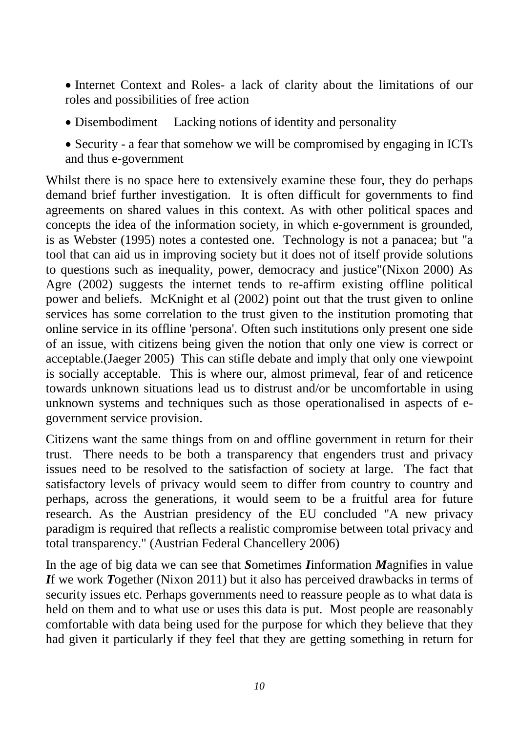• Internet Context and Roles- a lack of clarity about the limitations of our roles and possibilities of free action

- Disembodiment Lacking notions of identity and personality
- Security a fear that somehow we will be compromised by engaging in ICTs and thus e-government

Whilst there is no space here to extensively examine these four, they do perhaps demand brief further investigation. It is often difficult for governments to find agreements on shared values in this context. As with other political spaces and concepts the idea of the information society, in which e-government is grounded, is as Webster (1995) notes a contested one. Technology is not a panacea; but "a tool that can aid us in improving society but it does not of itself provide solutions to questions such as inequality, power, democracy and justice"(Nixon 2000) As Agre (2002) suggests the internet tends to re-affirm existing offline political power and beliefs. McKnight et al (2002) point out that the trust given to online services has some correlation to the trust given to the institution promoting that online service in its offline 'persona'. Often such institutions only present one side of an issue, with citizens being given the notion that only one view is correct or acceptable.(Jaeger 2005) This can stifle debate and imply that only one viewpoint is socially acceptable. This is where our, almost primeval, fear of and reticence towards unknown situations lead us to distrust and/or be uncomfortable in using unknown systems and techniques such as those operationalised in aspects of egovernment service provision.

Citizens want the same things from on and offline government in return for their trust. There needs to be both a transparency that engenders trust and privacy issues need to be resolved to the satisfaction of society at large. The fact that satisfactory levels of privacy would seem to differ from country to country and perhaps, across the generations, it would seem to be a fruitful area for future research. As the Austrian presidency of the EU concluded "A new privacy paradigm is required that reflects a realistic compromise between total privacy and total transparency." (Austrian Federal Chancellery 2006)

In the age of big data we can see that *S*ometimes *I*information *M*agnifies in value *I*f we work *T*ogether (Nixon 2011) but it also has perceived drawbacks in terms of security issues etc. Perhaps governments need to reassure people as to what data is held on them and to what use or uses this data is put. Most people are reasonably comfortable with data being used for the purpose for which they believe that they had given it particularly if they feel that they are getting something in return for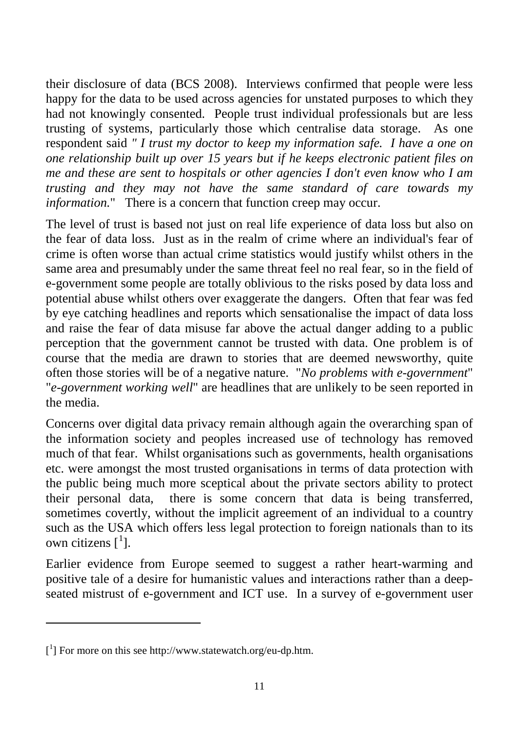their disclosure of data (BCS 2008). Interviews confirmed that people were less happy for the data to be used across agencies for unstated purposes to which they had not knowingly consented. People trust individual professionals but are less trusting of systems, particularly those which centralise data storage. As one respondent said *" I trust my doctor to keep my information safe. I have a one on one relationship built up over 15 years but if he keeps electronic patient files on me and these are sent to hospitals or other agencies I don't even know who I am trusting and they may not have the same standard of care towards my information.*" There is a concern that function creep may occur.

The level of trust is based not just on real life experience of data loss but also on the fear of data loss. Just as in the realm of crime where an individual's fear of crime is often worse than actual crime statistics would justify whilst others in the same area and presumably under the same threat feel no real fear, so in the field of e-government some people are totally oblivious to the risks posed by data loss and potential abuse whilst others over exaggerate the dangers. Often that fear was fed by eye catching headlines and reports which sensationalise the impact of data loss and raise the fear of data misuse far above the actual danger adding to a public perception that the government cannot be trusted with data. One problem is of course that the media are drawn to stories that are deemed newsworthy, quite often those stories will be of a negative nature. "*No problems with e-government*" "*e-government working well*" are headlines that are unlikely to be seen reported in the media.

Concerns over digital data privacy remain although again the overarching span of the information society and peoples increased use of technology has removed much of that fear. Whilst organisations such as governments, health organisations etc. were amongst the most trusted organisations in terms of data protection with the public being much more sceptical about the private sectors ability to protect their personal data, there is some concern that data is being transferred, sometimes covertly, without the implicit agreement of an individual to a country such as the USA which offers less legal protection to foreign nationals than to its own citizens  $\left[\begin{smallmatrix}1\end{smallmatrix}\right]$  $\left[\begin{smallmatrix}1\end{smallmatrix}\right]$  $\left[\begin{smallmatrix}1\end{smallmatrix}\right]$ .

Earlier evidence from Europe seemed to suggest a rather heart-warming and positive tale of a desire for humanistic values and interactions rather than a deepseated mistrust of e-government and ICT use. In a survey of e-government user

 $\overline{a}$ 

<span id="page-10-0"></span><sup>[</sup> 1 ] For more on this see http://www.statewatch.org/eu-dp.htm.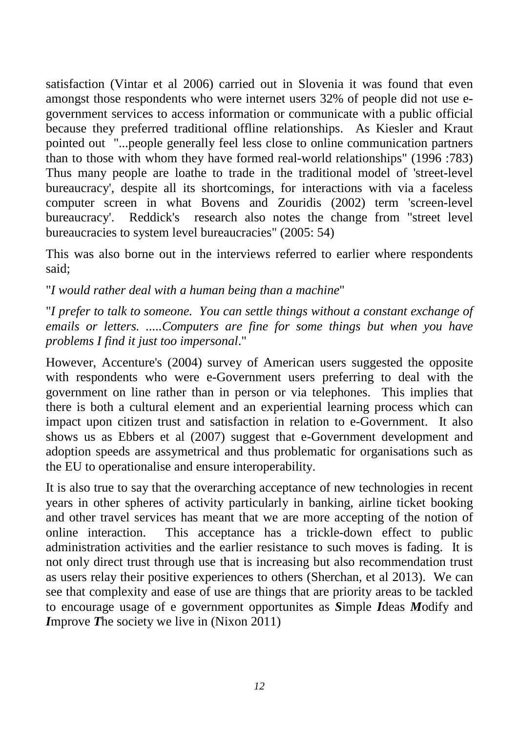satisfaction (Vintar et al 2006) carried out in Slovenia it was found that even amongst those respondents who were internet users 32% of people did not use egovernment services to access information or communicate with a public official because they preferred traditional offline relationships. As Kiesler and Kraut pointed out "...people generally feel less close to online communication partners than to those with whom they have formed real-world relationships" (1996 :783) Thus many people are loathe to trade in the traditional model of 'street-level bureaucracy', despite all its shortcomings, for interactions with via a faceless computer screen in what Bovens and Zouridis (2002) term 'screen-level bureaucracy'. Reddick's research also notes the change from "street level bureaucracies to system level bureaucracies" (2005: 54)

This was also borne out in the interviews referred to earlier where respondents said;

"*I would rather deal with a human being than a machine*"

"*I prefer to talk to someone. You can settle things without a constant exchange of emails or letters. .....Computers are fine for some things but when you have problems I find it just too impersonal*."

However, Accenture's (2004) survey of American users suggested the opposite with respondents who were e-Government users preferring to deal with the government on line rather than in person or via telephones. This implies that there is both a cultural element and an experiential learning process which can impact upon citizen trust and satisfaction in relation to e-Government. It also shows us as Ebbers et al (2007) suggest that e-Government development and adoption speeds are assymetrical and thus problematic for organisations such as the EU to operationalise and ensure interoperability.

It is also true to say that the overarching acceptance of new technologies in recent years in other spheres of activity particularly in banking, airline ticket booking and other travel services has meant that we are more accepting of the notion of online interaction. This acceptance has a trickle-down effect to public administration activities and the earlier resistance to such moves is fading. It is not only direct trust through use that is increasing but also recommendation trust as users relay their positive experiences to others (Sherchan, et al 2013). We can see that complexity and ease of use are things that are priority areas to be tackled to encourage usage of e government opportunites as *S*imple *I*deas *M*odify and *I*mprove *T*he society we live in (Nixon 2011)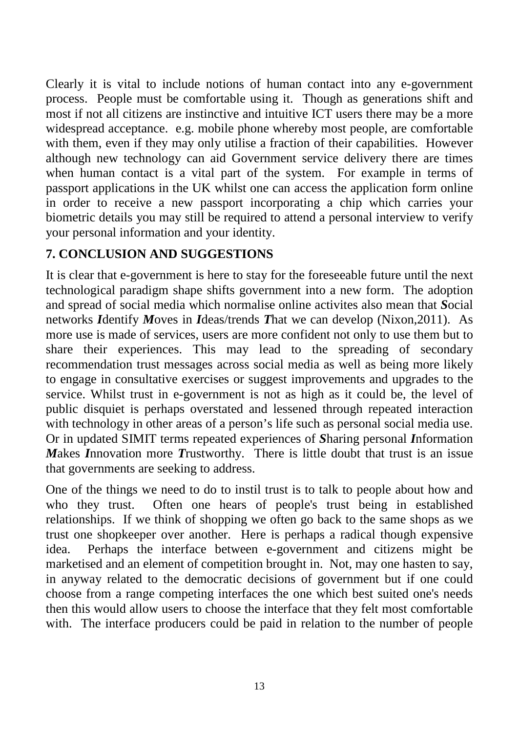Clearly it is vital to include notions of human contact into any e-government process. People must be comfortable using it. Though as generations shift and most if not all citizens are instinctive and intuitive ICT users there may be a more widespread acceptance. e.g. mobile phone whereby most people, are comfortable with them, even if they may only utilise a fraction of their capabilities. However although new technology can aid Government service delivery there are times when human contact is a vital part of the system. For example in terms of passport applications in the UK whilst one can access the application form online in order to receive a new passport incorporating a chip which carries your biometric details you may still be required to attend a personal interview to verify your personal information and your identity.

# **7. CONCLUSION AND SUGGESTIONS**

It is clear that e-government is here to stay for the foreseeable future until the next technological paradigm shape shifts government into a new form. The adoption and spread of social media which normalise online activites also mean that *S*ocial networks *I*dentify *M*oves in *I*deas/trends *T*hat we can develop (Nixon,2011). As more use is made of services, users are more confident not only to use them but to share their experiences. This may lead to the spreading of secondary recommendation trust messages across social media as well as being more likely to engage in consultative exercises or suggest improvements and upgrades to the service. Whilst trust in e-government is not as high as it could be, the level of public disquiet is perhaps overstated and lessened through repeated interaction with technology in other areas of a person's life such as personal social media use. Or in updated SIMIT terms repeated experiences of *S*haring personal *I*nformation *M*akes *I*nnovation more *T*rustworthy. There is little doubt that trust is an issue that governments are seeking to address.

One of the things we need to do to instil trust is to talk to people about how and who they trust. Often one hears of people's trust being in established relationships. If we think of shopping we often go back to the same shops as we trust one shopkeeper over another. Here is perhaps a radical though expensive idea. Perhaps the interface between e-government and citizens might be marketised and an element of competition brought in. Not, may one hasten to say, in anyway related to the democratic decisions of government but if one could choose from a range competing interfaces the one which best suited one's needs then this would allow users to choose the interface that they felt most comfortable with. The interface producers could be paid in relation to the number of people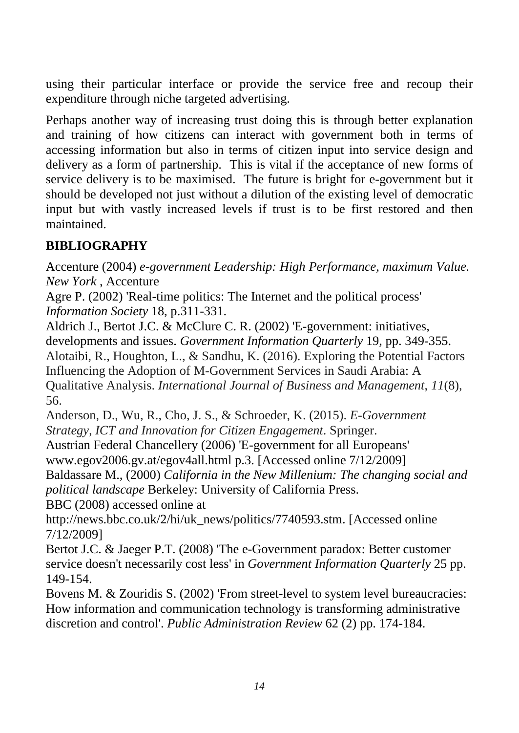using their particular interface or provide the service free and recoup their expenditure through niche targeted advertising.

Perhaps another way of increasing trust doing this is through better explanation and training of how citizens can interact with government both in terms of accessing information but also in terms of citizen input into service design and delivery as a form of partnership. This is vital if the acceptance of new forms of service delivery is to be maximised. The future is bright for e-government but it should be developed not just without a dilution of the existing level of democratic input but with vastly increased levels if trust is to be first restored and then maintained.

# **BIBLIOGRAPHY**

Accenture (2004) *e-government Leadership: High Performance, maximum Value. New York* , Accenture

Agre P. (2002) 'Real-time politics: The Internet and the political process' *Information Society* 18, p.311-331.

Aldrich J., Bertot J.C. & McClure C. R. (2002) 'E-government: initiatives, developments and issues. *Government Information Quarterly* 19, pp. 349-355. Alotaibi, R., Houghton, L., & Sandhu, K. (2016). Exploring the Potential Factors Influencing the Adoption of M-Government Services in Saudi Arabia: A Qualitative Analysis. *International Journal of Business and Management*, *11*(8), 56.

Anderson, D., Wu, R., Cho, J. S., & Schroeder, K. (2015). *E-Government Strategy, ICT and Innovation for Citizen Engagement*. Springer.

Austrian Federal Chancellery (2006) 'E-government for all Europeans'

www.egov2006.gv.at/egov4all.html p.3. [Accessed online 7/12/2009]

Baldassare M., (2000) *California in the New Millenium: The changing social and political landscape* Berkeley: University of California Press.

BBC (2008) accessed online at

http://news.bbc.co.uk/2/hi/uk\_news/politics/7740593.stm. [Accessed online 7/12/2009]

Bertot J.C. & Jaeger P.T. (2008) 'The e-Government paradox: Better customer service doesn't necessarily cost less' in *Government Information Quarterly* 25 pp. 149-154.

Bovens M. & Zouridis S. (2002) 'From street-level to system level bureaucracies: How information and communication technology is transforming administrative discretion and control'. *Public Administration Review* 62 (2) pp. 174-184.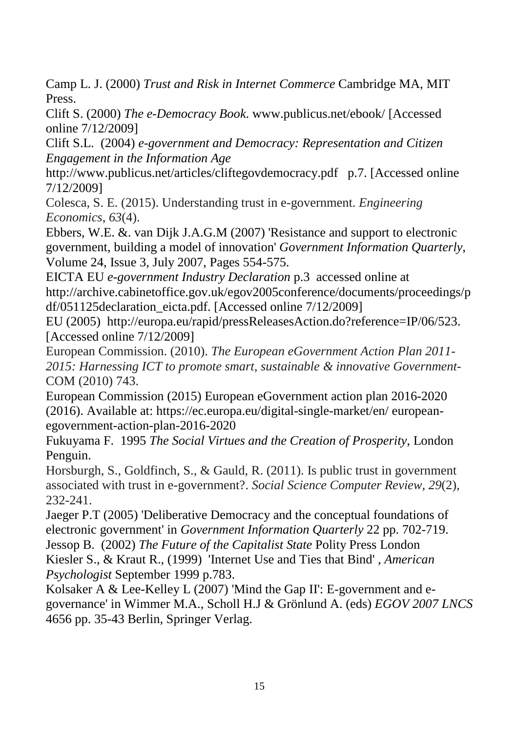Camp L. J. (2000) *Trust and Risk in Internet Commerce* Cambridge MA, MIT Press.

Clift S. (2000) *The e-Democracy Book*. www.publicus.net/ebook/ [Accessed online 7/12/2009]

Clift S.L. (2004) *e-government and Democracy: Representation and Citizen Engagement in the Information Age*

http://www.publicus.net/articles/cliftegovdemocracy.pdf p.7. [Accessed online 7/12/2009]

Colesca, S. E. (2015). Understanding trust in e-government. *Engineering Economics*, *63*(4).

Ebbers, W.E. &. van Dijk J.A.G.M (2007) 'Resistance and support to electronic government, building a model of innovation' *Government Information Quarterly*, Volume 24, Issue 3, July 2007, Pages 554-575.

EICTA EU *e-government Industry Declaration* p.3 accessed online at http://archive.cabinetoffice.gov.uk/egov2005conference/documents/proceedings/p df/051125declaration\_eicta.pdf. [Accessed online 7/12/2009]

EU (2005) http://europa.eu/rapid/pressReleasesAction.do?reference=IP/06/523. [Accessed online 7/12/2009]

European Commission. (2010). *The European eGovernment Action Plan 2011- 2015: Harnessing ICT to promote smart, sustainable & innovative Government*-COM (2010) 743.

European Commission (2015) European eGovernment action plan 2016-2020 (2016). Available at: https://ec.europa.eu/digital-single-market/en/ europeanegovernment-action-plan-2016-2020

Fukuyama F. 1995 *The Social Virtues and the Creation of Prosperity*, London Penguin.

Horsburgh, S., Goldfinch, S., & Gauld, R. (2011). Is public trust in government associated with trust in e-government?. *Social Science Computer Review*, *29*(2), 232-241.

Jaeger P.T (2005) 'Deliberative Democracy and the conceptual foundations of electronic government' in *Government Information Quarterly* 22 pp. 702-719.

Jessop B. (2002) *The Future of the Capitalist State* Polity Press London Kiesler S., & Kraut R., (1999) 'Internet Use and Ties that Bind' , *American Psychologist* September 1999 p.783.

Kolsaker A & Lee-Kelley L (2007) 'Mind the Gap II': E-government and egovernance' in Wimmer M.A., Scholl H.J & Grönlund A. (eds) *EGOV 2007 LNCS* 4656 pp. 35-43 Berlin, Springer Verlag.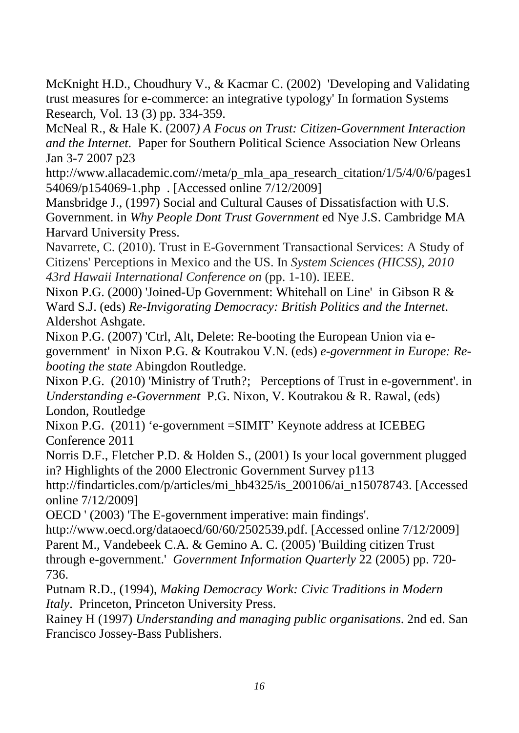McKnight H.D., Choudhury V., & Kacmar C. (2002) 'Developing and Validating trust measures for e-commerce: an integrative typology' In formation Systems Research, Vol. 13 (3) pp. 334-359.

McNeal R., & Hale K. (2007*) A Focus on Trust: Citizen-Government Interaction and the Internet*. Paper for Southern Political Science Association New Orleans Jan 3-7 2007 p23

http://www.allacademic.com//meta/p\_mla\_apa\_research\_citation/1/5/4/0/6/pages1 54069/p154069-1.php . [Accessed online 7/12/2009]

Mansbridge J., (1997) Social and Cultural Causes of Dissatisfaction with U.S. Government. in *Why People Dont Trust Government* ed Nye J.S. Cambridge MA Harvard University Press.

Navarrete, C. (2010). Trust in E-Government Transactional Services: A Study of Citizens' Perceptions in Mexico and the US. In *System Sciences (HICSS), 2010 43rd Hawaii International Conference on* (pp. 1-10). IEEE.

Nixon P.G. (2000) 'Joined-Up Government: Whitehall on Line' in Gibson R & Ward S.J. (eds) *Re-Invigorating Democracy: British Politics and the Internet*. Aldershot Ashgate.

Nixon P.G. (2007) 'Ctrl, Alt, Delete: Re-booting the European Union via egovernment' in Nixon P.G. & Koutrakou V.N. (eds) *e-government in Europe: Rebooting the state* Abingdon Routledge.

Nixon P.G. (2010) 'Ministry of Truth?; Perceptions of Trust in e-government'. in *Understanding e-Government* P.G. Nixon, V. Koutrakou & R. Rawal, (eds) London, Routledge

Nixon P.G. (2011) 'e-government =SIMIT' Keynote address at ICEBEG Conference 2011

Norris D.F., Fletcher P.D. & Holden S., (2001) Is your local government plugged in? Highlights of the 2000 Electronic Government Survey p113

http://findarticles.com/p/articles/mi\_hb4325/is\_200106/ai\_n15078743. [Accessed online 7/12/2009]

OECD ' (2003) 'The E-government imperative: main findings'.

http://www.oecd.org/dataoecd/60/60/2502539.pdf. [Accessed online 7/12/2009] Parent M., Vandebeek C.A. & Gemino A. C. (2005) 'Building citizen Trust through e-government.' *Government Information Quarterly* 22 (2005) pp. 720- 736.

Putnam R.D., (1994), *Making Democracy Work: Civic Traditions in Modern Italy*. Princeton, Princeton University Press.

Rainey H (1997) *Understanding and managing public organisations*. 2nd ed. San Francisco Jossey-Bass Publishers.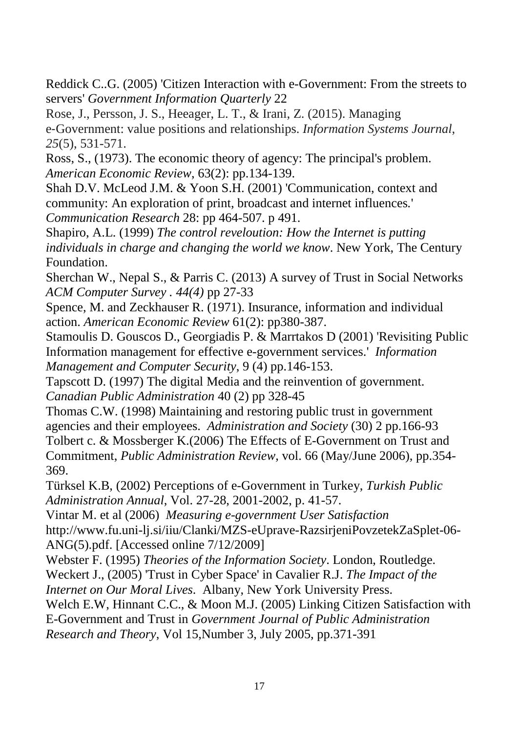Reddick C..G. (2005) 'Citizen Interaction with e-Government: From the streets to servers' *Government Information Quarterly* 22

Rose, J., Persson, J. S., Heeager, L. T., & Irani, Z. (2015). Managing e‐Government: value positions and relationships. *Information Systems Journal*, *25*(5), 531-571.

Ross, S., (1973). The economic theory of agency: The principal's problem. *American Economic Review*, 63(2): pp.134-139.

Shah D.V. McLeod J.M. & Yoon S.H. (2001) 'Communication, context and community: An exploration of print, broadcast and internet influences*.*' *Communication Research* 28: pp 464-507. p 491.

Shapiro, A.L. (1999) *The control reveloution: How the Internet is putting individuals in charge and changing the world we know*. New York, The Century Foundation.

Sherchan W., Nepal S., & Parris C. (2013) A survey of Trust in Social Networks *ACM Computer Survey . 44(4)* pp 27-33

Spence, M. and Zeckhauser R. (1971). Insurance, information and individual action. *American Economic Review* 61(2): pp380-387.

Stamoulis D. Gouscos D., Georgiadis P. & Marrtakos D (2001) 'Revisiting Public Information management for effective e-government services.' *Information Management and Computer Security*, 9 (4) pp.146-153.

Tapscott D. (1997) The digital Media and the reinvention of government. *Canadian Public Administration* 40 (2) pp 328-45

Thomas C.W. (1998) Maintaining and restoring public trust in government agencies and their employees. *Administration and Society* (30) 2 pp.166-93 Tolbert c. & Mossberger K.(2006) The Effects of E-Government on Trust and Commitment, *Public Administration Review*, vol. 66 (May/June 2006), pp.354- 369.

Türksel K.B, (2002) Perceptions of e-Government in Turkey, *Turkish Public Administration Annual*, Vol. 27-28, 2001-2002, p. 41-57.

Vintar M. et al (2006) *Measuring e-government User Satisfaction*

http://www.fu.uni-lj.si/iiu/Clanki/MZS-eUprave-RazsirjeniPovzetekZaSplet-06- ANG(5).pdf. [Accessed online 7/12/2009]

Webster F. (1995) *Theories of the Information Society*. London, Routledge.

Weckert J., (2005) 'Trust in Cyber Space' in Cavalier R.J. *The Impact of the* 

*Internet on Our Moral Lives*. Albany, New York University Press.

Welch E.W, Hinnant C.C., & Moon M.J. (2005) Linking Citizen Satisfaction with E-Government and Trust in *Government Journal of Public Administration* 

*Research and Theory*, Vol 15,Number 3, July 2005, pp.371-391